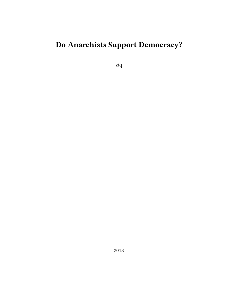# **Do Anarchists Support Democracy?**

ziq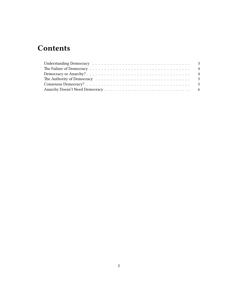# **Contents**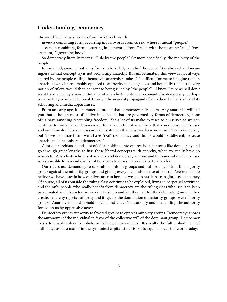# <span id="page-2-0"></span>**Understanding Democracy**

The word "democracy" comes from two Greek words:

*demo-* a combining form occurring in loanwords from Greek, where it meant "people."

*-cracy*: a combining form occurring in loanwords from Greek, with the meaning "rule," "government," "governing body."

So democracy literally means: "Rule by the people." Or more specifically, the majority of the people.

In my mind, anyone that aims for us to be ruled, even by "the people" (as abstract and meaningless as that concept is) is not promoting anarchy. But unfortunately this view is not always shared by the people calling themselves anarchists today. It's difficult for me to imagine that an anarchist; who is presumably opposed to authority in all its guises and hopefully rejects the very notion of rulers, would then consent to being ruled by "the people"… I know I sure as hell don't want to be ruled by anyone. But a lot of anarchists continue to romanticize democracy, perhaps because they're unable to break through the years of propaganda fed to them by the state and its schooling and media apparatuses.

From an early age, it's hammered into us that democracy = freedom. Any anarchist will tell you that although most of us live in societies that are governed by forms of democracy, none of us have anything resembling freedom. Yet a lot of us make excuses to ourselves so we can continue to romanticize democracy… Tell a room full of anarchists that you oppose democracy and you'll no doubt hear impassioned insistences that what we have now isn't "real" democracy, but "if we had anarchism, we'd have "real" democracy and things would be different, because anarchism is the only real democracy!"

A lot of anarchists spend a lot of effort holding onto oppressive phantoms like democracy and go through great lengths to fuse these liberal concepts with anarchy, when we really have no reason to. Anarchists who insist anarchy and democracy are one and the same when democracy is responsible for an endless list of horrible atrocities do no service to anarchy.

Our rulers use democracy to separate us into in-groups and out-groups, pitting the majority group against the minority groups and giving everyone a false sense of control. We're made to believe we have a say in how our lives are run because we get to participate in glorious democracy. Of course, all of us outside the ruling class continue to be exploited, living in perpetual servitude, and the only people who really benefit from democracy are the ruling class who use it to keep us alienated and distracted so we don't rise up and kill them all for the debilitating misery they create. Anarchy rejects authority and it rejects the domination of majority groups over minority groups. Anarchy is about upholding each individual's autonomy and dismantling the authority forced on us by oppressive actors.

Democracy grants authority to favored groups to oppress minority groups. Democracy ignores the autonomy of the individual in favor of the collective will of the dominant group. Democracy exists to enable rulers to uphold brutal power hierarchies. It's really the full embodiment of authority; used to maintain the tyrannical capitalist-statist status quo all over the world today.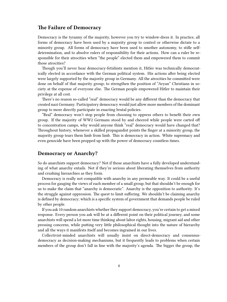# <span id="page-3-0"></span>**The Failure of Democracy**

Democracy is the tyranny of the majority, however you try to window-dress it. In practice, all forms of democracy have been used by a majority group to control or otherwise dictate to a minority group. All forms of democracy have been used to smother autonomy, to stifle selfdetermination, and to absolve rulers of responsibility for their actions. How can a ruler be responsible for their atrocities when "the people" elected them and empowered them to commit those atrocities?

Though you'll never hear democracy-fetishists mention it, Hitler was technically democratically elected in accordance with the German political system. His actions after being elected were largely supported by the majority group in Germany. All the atrocities he committed were done on behalf of that majority group; to strengthen the position of "Aryan" Christians in society at the expense of everyone else. The German people empowered Hitler to maintain their privilege at all cost.

There's no reason so-called "real" democracy would be any different than the democracy that created nazi Germany. Participatory democracy would just allow more members of the dominant group to more directly participate in enacting brutal policies.

"Real" democracy won't stop people from choosing to oppress others to benefit their own group. If the majority of WW2 Germans stood by and cheered while people were carted off to concentration camps, why would anyone think "real" democracy would have changed that? Throughout history, whenever a skilled propagandist points the finger at a minority group, the majority group tears them limb from limb. This is democracy in action. White supremacy and even genocide have been propped up with the power of democracy countless times.

#### <span id="page-3-1"></span>**Democracy or Anarchy?**

So do anarchists support democracy? Not if those anarchists have a fully developed understanding of what anarchy entails. Not if they're serious about liberating themselves from authority and crushing hierarchies as they form.

Democracy is really not compatible with anarchy in any permeable way. It could be a useful process for gauging the views of each member of a small group, but that shouldn't be enough for us to make the claim that "anarchy is democratic". Anarchy is the opposition to authority. It's the struggle against oppression. The quest to limit suffering. We shouldn't be claiming anarchy is defined by democracy; which is a specific system of government that demands people be ruled by other people.

If you ask 10 random anarchists whether they support democracy, you're certain to get a mixed response. Every person you ask will be at a different point on their political journey, and some anarchists will spend a lot more time thinking about labor rights, housing, migrant aid and other pressing concerns, while putting very little philosophical thought into the nature of hierarchy and all the ways it manifests itself and becomes ingrained in our lives.

Collectivist-minded anarchists will usually insist on direct-democracy and consensusdemocracy as decision-making mechanisms, but it frequently leads to problems when certain members of the group don't fall in line with the majority's agenda. The bigger the group, the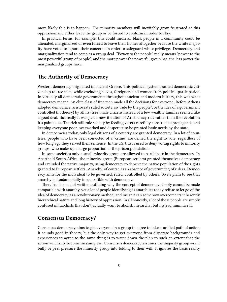more likely this is to happen. The minority members will inevitably grow frustrated at this oppression and either leave the group or be forced to conform in order to stay.

In practical terms, for example, this could mean all black people in a community could be alienated, marginalized or even forced to leave their homes altogether because the white majority have voted to ignore their concerns in order to safeguard white privilege. Democracy and marginalization tend to come as a group deal. "Power to the people" really means "power to the most powerful group of people", and the more power the powerful group has, the less power the marginalized groups have.

#### <span id="page-4-0"></span>**The Authority of Democracy**

Western democracy originated in ancient Greece. This political system granted democratic citizenship to free men, while excluding slaves, foreigners and women from political participation. In virtually all democratic governments throughout ancient and modern history, this was what democracy meant. An elite class of free men made all the decisions for everyone. Before Athens adopted democracy, aristocrats ruled society, so "rule by the people", or the idea of a government controlled (in theory) by all its (free) male citizens instead of a few wealthy families seemed like a good deal. But really it was just a new iteration of Aristocracy rule rather than the revolution it's painted as. The rich still rule society by feeding voters carefully constructed propaganda and keeping everyone poor, overworked and desperate to be granted basic needs by the state.

In democracies today, only legal citizens of a country are granted democracy. In a lot of countries, people who have been convicted of a "crime" are denied the right to vote, regardless of how long ago they served their sentence. In the US, this is used to deny voting rights to minority groups, who make up a large proportion of the prison population.

In some societies only a small minority group are allowed to participate in the democracy. In Apartheid South Africa, the minority group (European settlers) granted themselves democracy and excluded the native majority, using democracy to deprive the native population of the rights granted to European settlers. Anarchy, of course, is an absence of government; of rulers. Democracy aims for the individual to be governed, ruled, controlled by others. So its plain to see that anarchy is fundamentally incompatible with democracy.

There has been a lot written outlining why the concept of democracy simply cannot be made compatible with anarchy, yet a lot of people identifying as anarchists today refuse to let go of the idea of democracy as a revolutionary method, and insist it can somehow overcome its inherently hierarchical nature and long history of oppression. In all honestly, a lot of these people are simply confused minarchists that don't actually want to abolish hierarchy; but instead minimize it.

# <span id="page-4-1"></span>**Consensus Democracy?**

Consensus democracy aims to get everyone in a group to agree to take a unified path of action. It sounds good in theory, but the only way to get everyone from disparate backgrounds and experiences to agree to the same thing is to water down the plan to such an extent that the action will likely become meaningless. Consensus democracy assumes the majority group won't bully or peer pressure the minority group into folding to their will. It ignores the basic reality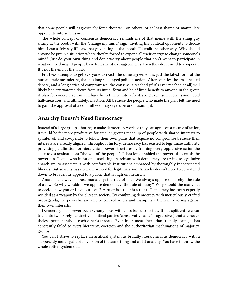that some people will aggressively force their will on others, or at least shame or manipulate opponents into submission.

The whole concept of consensus democracy reminds me of that meme with the smug guy sitting at the booth with the "change my mind" sign; inviting his political opponents to debate him. I can safely say if I saw that guy sitting at that booth, I'd walk the other way. Why should anyone be put in a situation where they're forced to expend all their energy to change someone's mind? Just do your own thing and don't worry about people that don't want to participate in what you're doing. If people have fundamental disagreements, then they don't need to cooperate. It's not the end of the world.

Fruitless attempts to get everyone to reach the same agreement is just the latest form of the bureaucratic meandering that has long sabotaged political action. After countless hours of heated debate, and a long series of compromises, the consensus reached (if it's ever reached at all) will likely be very watered down from its initial form and be of little benefit to anyone in the group. A plan for concrete action will have been turned into a frustrating exercise in concession, tepid half-measures, and ultimately; inaction. All because the people who made the plan felt the need to gain the approval of a committee of naysayers before pursuing it.

## <span id="page-5-0"></span>**Anarchy Doesn't Need Democracy**

Instead of a large group laboring to make democracy work so they can agree on a course of action, it would be far more productive for smaller groups made up of people with shared interests to splinter off and co-operate to follow their own plans that require no compromise because their interests are already aligned. Throughout history, democracy has existed to legitimize authority, providing justification for hierarchical power structures by framing every oppressive action the state takes against us as "the will of the people". It has long enabled the powerful to crush the powerless. People who insist on associating anarchism with democracy are trying to legitimize anarchism, to associate it with comfortable institutions embraced by thoroughly indoctrinated liberals. But anarchy has no want or need for legitimization. Anarchy doesn't need to be watered down to broaden its appeal to a public that is high on hierarchy.

Anarchists always oppose monarchy; the rule of one. We always oppose oligarchy; the rule of a few. So why wouldn't we oppose democracy; the rule of many? Why should the many get to decide how you or I live our lives? A ruler is a ruler is a ruler. Democracy has been expertly wielded as a weapon by the elites in society. By combining democracy with meticulously-crafted propaganda, the powerful are able to control voters and manipulate them into voting against their own interests.

Democracy has forever been synonymous with class based societies. It has split entire countries into two barely-distinctive political parties (conservative and "progressive") that are nevertheless permanently at each other's throats. Even in its most libertarian-friendly forms, it has constantly failed to avert hierarchy, coercion and the authoritarian machinations of majoritygroups.

You can't strive to replace an artificial system as brutally hierarchical as democracy with a supposedly more egalitarian version of the same thing and call it anarchy. You have to throw the whole rotten system out.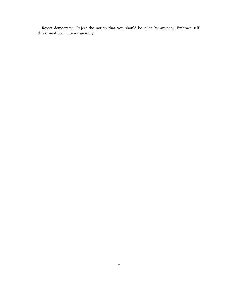Reject democracy. Reject the notion that you should be ruled by anyone. Embrace selfdetermination. Embrace anarchy.